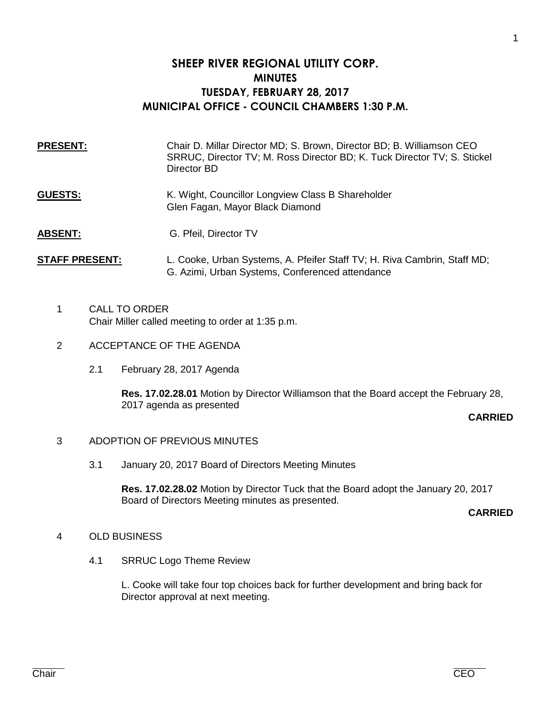# **SHEEP RIVER REGIONAL UTILITY CORP. MINUTES TUESDAY, FEBRUARY 28, 2017 MUNICIPAL OFFICE - COUNCIL CHAMBERS 1:30 P.M.**

| <b>PRESENT:</b> | Chair D. Millar Director MD; S. Brown, Director BD; B. Williamson CEO<br>SRRUC, Director TV; M. Ross Director BD; K. Tuck Director TV; S. Stickel<br>Director BD |
|-----------------|------------------------------------------------------------------------------------------------------------------------------------------------------------------|
| <b>GUESTS:</b>  | K. Wight, Councillor Longview Class B Shareholder<br>Glen Fagan, Mayor Black Diamond                                                                             |
| <b>ABSENT:</b>  | G. Pfeil, Director TV                                                                                                                                            |

## **STAFF PRESENT:** L. Cooke, Urban Systems, A. Pfeifer Staff TV; H. Riva Cambrin, Staff MD; G. Azimi, Urban Systems, Conferenced attendance

- 1 CALL TO ORDER Chair Miller called meeting to order at 1:35 p.m.
- 2 ACCEPTANCE OF THE AGENDA
	- 2.1 February 28, 2017 Agenda

**Res. 17.02.28.01** Motion by Director Williamson that the Board accept the February 28, 2017 agenda as presented

### **CARRIED**

### 3 ADOPTION OF PREVIOUS MINUTES

3.1 January 20, 2017 Board of Directors Meeting Minutes

**Res. 17.02.28.02** Motion by Director Tuck that the Board adopt the January 20, 2017 Board of Directors Meeting minutes as presented.

### **CARRIED**

## 4 OLD BUSINESS

4.1 SRRUC Logo Theme Review

L. Cooke will take four top choices back for further development and bring back for Director approval at next meeting.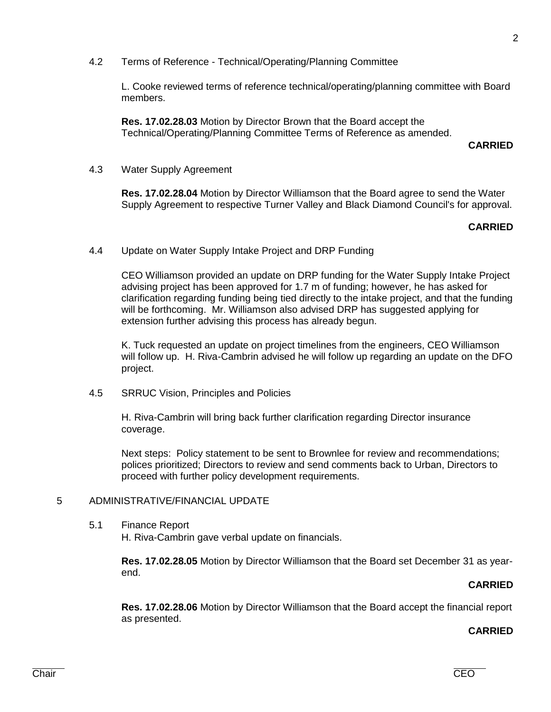- 
- 4.5 SRRUC Vision, Principles and Policies

H. Riva-Cambrin will bring back further clarification regarding Director insurance

Next steps: Policy statement to be sent to Brownlee for review and recommendations; polices prioritized; Directors to review and send comments back to Urban, Directors to proceed with further policy development requirements.

### 5 ADMINISTRATIVE/FINANCIAL UPDATE

5.1 Finance Report H. Riva-Cambrin gave verbal update on financials.

> **Res. 17.02.28.05** Motion by Director Williamson that the Board set December 31 as yearend.

### **CARRIED**

**Res. 17.02.28.06** Motion by Director Williamson that the Board accept the financial report as presented.

### **CARRIED**

L. Cooke reviewed terms of reference technical/operating/planning committee with Board members.

**Res. 17.02.28.03** Motion by Director Brown that the Board accept the Technical/Operating/Planning Committee Terms of Reference as amended.

### **CARRIED**

4.3 Water Supply Agreement

**Res. 17.02.28.04** Motion by Director Williamson that the Board agree to send the Water Supply Agreement to respective Turner Valley and Black Diamond Council's for approval.

### **CARRIED**

4.4 Update on Water Supply Intake Project and DRP Funding

CEO Williamson provided an update on DRP funding for the Water Supply Intake Project advising project has been approved for 1.7 m of funding; however, he has asked for clarification regarding funding being tied directly to the intake project, and that the funding will be forthcoming. Mr. Williamson also advised DRP has suggested applying for extension further advising this process has already begun.

K. Tuck requested an update on project timelines from the engineers, CEO Williamson will follow up. H. Riva-Cambrin advised he will follow up regarding an update on the DFO project.

coverage.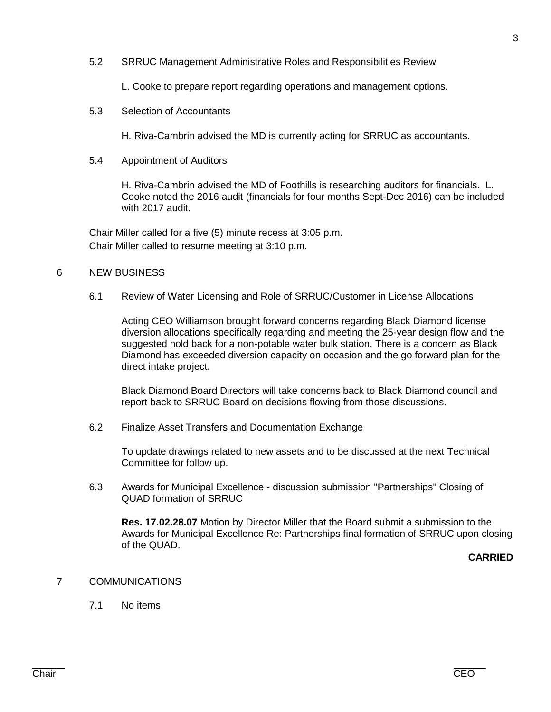5.2 SRRUC Management Administrative Roles and Responsibilities Review

L. Cooke to prepare report regarding operations and management options.

5.3 Selection of Accountants

H. Riva-Cambrin advised the MD is currently acting for SRRUC as accountants.

5.4 Appointment of Auditors

H. Riva-Cambrin advised the MD of Foothills is researching auditors for financials. L. Cooke noted the 2016 audit (financials for four months Sept-Dec 2016) can be included with 2017 audit.

Chair Miller called for a five (5) minute recess at 3:05 p.m. Chair Miller called to resume meeting at 3:10 p.m.

### 6 NEW BUSINESS

6.1 Review of Water Licensing and Role of SRRUC/Customer in License Allocations

Acting CEO Williamson brought forward concerns regarding Black Diamond license diversion allocations specifically regarding and meeting the 25-year design flow and the suggested hold back for a non-potable water bulk station. There is a concern as Black Diamond has exceeded diversion capacity on occasion and the go forward plan for the direct intake project.

Black Diamond Board Directors will take concerns back to Black Diamond council and report back to SRRUC Board on decisions flowing from those discussions.

6.2 Finalize Asset Transfers and Documentation Exchange

To update drawings related to new assets and to be discussed at the next Technical Committee for follow up.

6.3 Awards for Municipal Excellence - discussion submission "Partnerships" Closing of QUAD formation of SRRUC

**Res. 17.02.28.07** Motion by Director Miller that the Board submit a submission to the Awards for Municipal Excellence Re: Partnerships final formation of SRRUC upon closing of the QUAD.

**CARRIED**

### 7 COMMUNICATIONS

7.1 No items